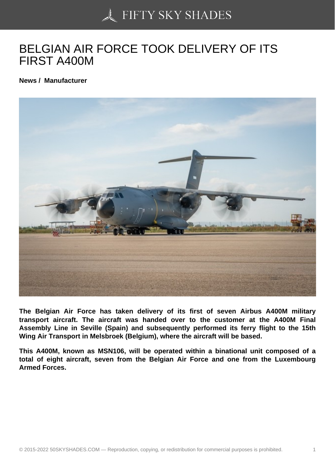## [BELGIAN AIR FORCE](https://50skyshades.com) TOOK DELIVERY OF ITS FIRST A400M

News / Manufacturer

The Belgian Air Force has taken delivery of its first of seven Airbus A400M military transport aircraft. The aircraft was handed over to the customer at the A400M Final Assembly Line in Seville (Spain) and subsequently performed its ferry flight to the 15th Wing Air Transport in Melsbroek (Belgium), where the aircraft will be based.

This A400M, known as MSN106, will be operated within a binational unit composed of a total of eight aircraft, seven from the Belgian Air Force and one from the Luxembourg Armed Forces.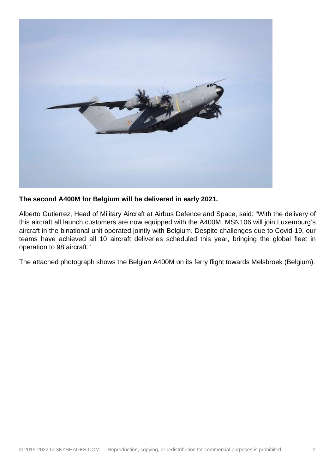

**The second A400M for Belgium will be delivered in early 2021.**

Alberto Gutierrez, Head of Military Aircraft at Airbus Defence and Space, said: "With the delivery of this aircraft all launch customers are now equipped with the A400M. MSN106 will join Luxemburg's aircraft in the binational unit operated jointly with Belgium. Despite challenges due to Covid-19, our teams have achieved all 10 aircraft deliveries scheduled this year, bringing the global fleet in operation to 98 aircraft."

The attached photograph shows the Belgian A400M on its ferry flight towards Melsbroek (Belgium).